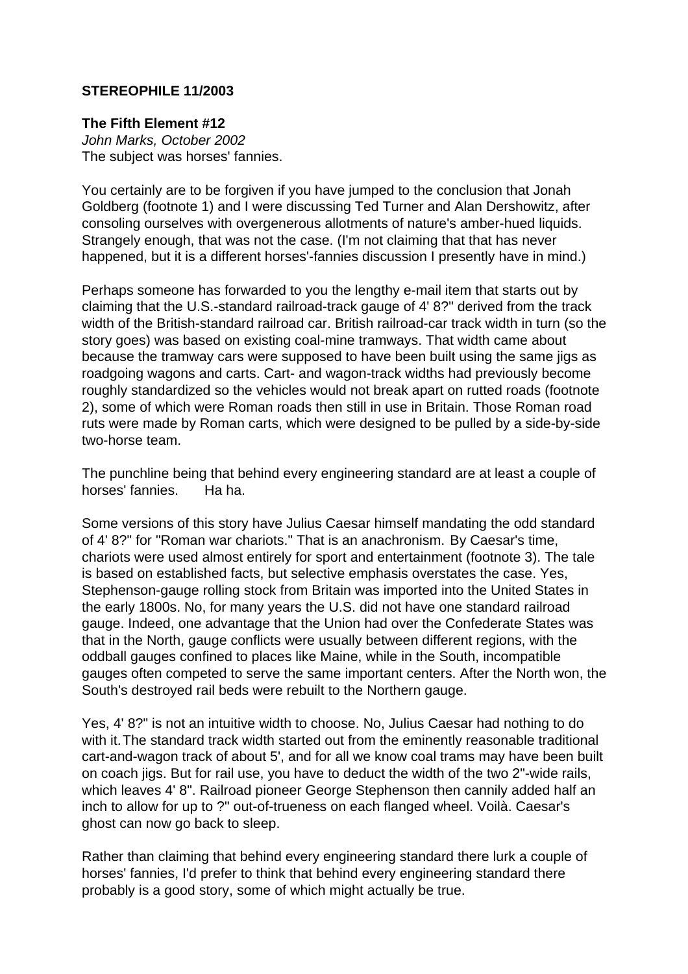## **STEREOPHILE 11/2003**

## **The Fifth Element #12**

John Marks, October 2002 The subject was horses' fannies.

You certainly are to be forgiven if you have jumped to the conclusion that Jonah Goldberg (footnote 1) and I were discussing Ted Turner and Alan Dershowitz, after consoling ourselves with overgenerous allotments of nature's amber-hued liquids. Strangely enough, that was not the case. (I'm not claiming that that has never happened, but it is a different horses'-fannies discussion I presently have in mind.)

Perhaps someone has forwarded to you the lengthy e-mail item that starts out by claiming that the U.S.-standard railroad-track gauge of 4' 8?" derived from the track width of the British-standard railroad car. British railroad-car track width in turn (so the story goes) was based on existing coal-mine tramways. That width came about because the tramway cars were supposed to have been built using the same jigs as roadgoing wagons and carts. Cart- and wagon-track widths had previously become roughly standardized so the vehicles would not break apart on rutted roads (footnote 2), some of which were Roman roads then still in use in Britain. Those Roman road ruts were made by Roman carts, which were designed to be pulled by a side-by-side two-horse team.

The punchline being that behind every engineering standard are at least a couple of horses' fannies. Ha ha.

Some versions of this story have Julius Caesar himself mandating the odd standard of 4' 8?" for "Roman war chariots." That is an anachronism. By Caesar's time, chariots were used almost entirely for sport and entertainment (footnote 3). The tale is based on established facts, but selective emphasis overstates the case. Yes, Stephenson-gauge rolling stock from Britain was imported into the United States in the early 1800s. No, for many years the U.S. did not have one standard railroad gauge. Indeed, one advantage that the Union had over the Confederate States was that in the North, gauge conflicts were usually between different regions, with the oddball gauges confined to places like Maine, while in the South, incompatible gauges often competed to serve the same important centers. After the North won, the South's destroyed rail beds were rebuilt to the Northern gauge.

Yes, 4' 8?" is not an intuitive width to choose. No, Julius Caesar had nothing to do with it.The standard track width started out from the eminently reasonable traditional cart-and-wagon track of about 5', and for all we know coal trams may have been built on coach jigs. But for rail use, you have to deduct the width of the two 2"-wide rails, which leaves 4' 8". Railroad pioneer George Stephenson then cannily added half an inch to allow for up to ?" out-of-trueness on each flanged wheel. Voilà. Caesar's ghost can now go back to sleep.

Rather than claiming that behind every engineering standard there lurk a couple of horses' fannies, I'd prefer to think that behind every engineering standard there probably is a good story, some of which might actually be true.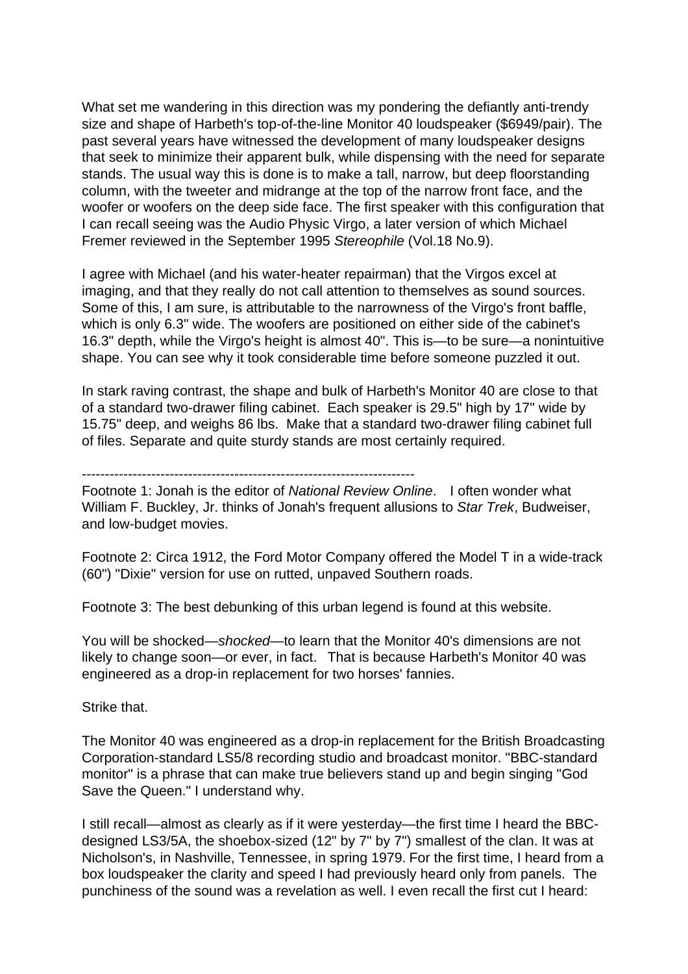What set me wandering in this direction was my pondering the defiantly anti-trendy size and shape of Harbeth's top-of-the-line Monitor 40 loudspeaker (\$6949/pair). The past several years have witnessed the development of many loudspeaker designs that seek to minimize their apparent bulk, while dispensing with the need for separate stands. The usual way this is done is to make a tall, narrow, but deep floorstanding column, with the tweeter and midrange at the top of the narrow front face, and the woofer or woofers on the deep side face. The first speaker with this configuration that I can recall seeing was the Audio Physic Virgo, a later version of which Michael Fremer reviewed in the September 1995 Stereophile (Vol.18 No.9).

I agree with Michael (and his water-heater repairman) that the Virgos excel at imaging, and that they really do not call attention to themselves as sound sources. Some of this, I am sure, is attributable to the narrowness of the Virgo's front baffle, which is only 6.3" wide. The woofers are positioned on either side of the cabinet's 16.3" depth, while the Virgo's height is almost 40". This is—to be sure—a nonintuitive shape. You can see why it took considerable time before someone puzzled it out.

In stark raving contrast, the shape and bulk of Harbeth's Monitor 40 are close to that of a standard two-drawer filing cabinet. Each speaker is 29.5" high by 17" wide by 15.75" deep, and weighs 86 lbs. Make that a standard two-drawer filing cabinet full of files. Separate and quite sturdy stands are most certainly required.

## ------------------------------------------------------------------------

Footnote 1: Jonah is the editor of National Review Online. I often wonder what William F. Buckley, Jr. thinks of Jonah's frequent allusions to Star Trek, Budweiser, and low-budget movies.

Footnote 2: Circa 1912, the Ford Motor Company offered the Model T in a wide-track (60") "Dixie" version for use on rutted, unpaved Southern roads.

Footnote 3: The best debunking of this urban legend is found at this website.

You will be shocked—shocked—to learn that the Monitor 40's dimensions are not likely to change soon—or ever, in fact. That is because Harbeth's Monitor 40 was engineered as a drop-in replacement for two horses' fannies.

Strike that.

The Monitor 40 was engineered as a drop-in replacement for the British Broadcasting Corporation-standard LS5/8 recording studio and broadcast monitor. "BBC-standard monitor" is a phrase that can make true believers stand up and begin singing "God Save the Queen." I understand why.

I still recall—almost as clearly as if it were yesterday—the first time I heard the BBCdesigned LS3/5A, the shoebox-sized (12" by 7" by 7") smallest of the clan. It was at Nicholson's, in Nashville, Tennessee, in spring 1979. For the first time, I heard from a box loudspeaker the clarity and speed I had previously heard only from panels. The punchiness of the sound was a revelation as well. I even recall the first cut I heard: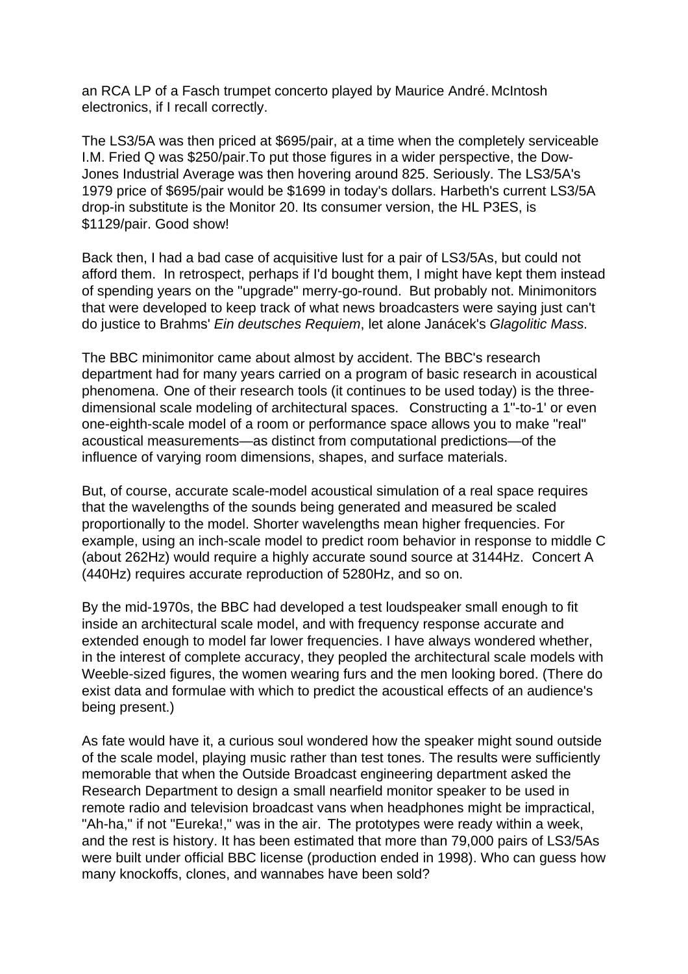an RCA LP of a Fasch trumpet concerto played by Maurice André. McIntosh electronics, if I recall correctly.

The LS3/5A was then priced at \$695/pair, at a time when the completely serviceable I.M. Fried Q was \$250/pair.To put those figures in a wider perspective, the Dow-Jones Industrial Average was then hovering around 825. Seriously. The LS3/5A's 1979 price of \$695/pair would be \$1699 in today's dollars. Harbeth's current LS3/5A drop-in substitute is the Monitor 20. Its consumer version, the HL P3ES, is \$1129/pair. Good show!

Back then, I had a bad case of acquisitive lust for a pair of LS3/5As, but could not afford them. In retrospect, perhaps if I'd bought them, I might have kept them instead of spending years on the "upgrade" merry-go-round. But probably not. Minimonitors that were developed to keep track of what news broadcasters were saying just can't do justice to Brahms' Ein deutsches Requiem, let alone Janácek's Glagolitic Mass.

The BBC minimonitor came about almost by accident. The BBC's research department had for many years carried on a program of basic research in acoustical phenomena. One of their research tools (it continues to be used today) is the threedimensional scale modeling of architectural spaces. Constructing a 1"-to-1' or even one-eighth-scale model of a room or performance space allows you to make "real" acoustical measurements—as distinct from computational predictions—of the influence of varying room dimensions, shapes, and surface materials.

But, of course, accurate scale-model acoustical simulation of a real space requires that the wavelengths of the sounds being generated and measured be scaled proportionally to the model. Shorter wavelengths mean higher frequencies. For example, using an inch-scale model to predict room behavior in response to middle C (about 262Hz) would require a highly accurate sound source at 3144Hz. Concert A (440Hz) requires accurate reproduction of 5280Hz, and so on.

By the mid-1970s, the BBC had developed a test loudspeaker small enough to fit inside an architectural scale model, and with frequency response accurate and extended enough to model far lower frequencies. I have always wondered whether, in the interest of complete accuracy, they peopled the architectural scale models with Weeble-sized figures, the women wearing furs and the men looking bored. (There do exist data and formulae with which to predict the acoustical effects of an audience's being present.)

As fate would have it, a curious soul wondered how the speaker might sound outside of the scale model, playing music rather than test tones. The results were sufficiently memorable that when the Outside Broadcast engineering department asked the Research Department to design a small nearfield monitor speaker to be used in remote radio and television broadcast vans when headphones might be impractical, "Ah-ha," if not "Eureka!," was in the air. The prototypes were ready within a week, and the rest is history. It has been estimated that more than 79,000 pairs of LS3/5As were built under official BBC license (production ended in 1998). Who can guess how many knockoffs, clones, and wannabes have been sold?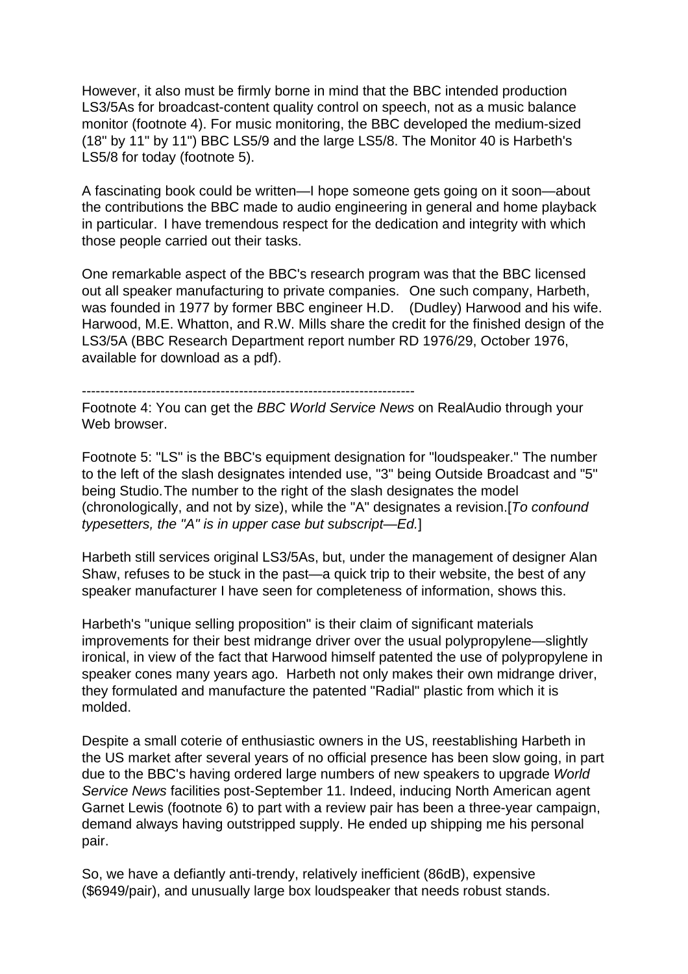However, it also must be firmly borne in mind that the BBC intended production LS3/5As for broadcast-content quality control on speech, not as a music balance monitor (footnote 4). For music monitoring, the BBC developed the medium-sized (18" by 11" by 11") BBC LS5/9 and the large LS5/8. The Monitor 40 is Harbeth's LS5/8 for today (footnote 5).

A fascinating book could be written—I hope someone gets going on it soon—about the contributions the BBC made to audio engineering in general and home playback in particular. I have tremendous respect for the dedication and integrity with which those people carried out their tasks.

One remarkable aspect of the BBC's research program was that the BBC licensed out all speaker manufacturing to private companies. One such company, Harbeth, was founded in 1977 by former BBC engineer H.D. (Dudley) Harwood and his wife. Harwood, M.E. Whatton, and R.W. Mills share the credit for the finished design of the LS3/5A (BBC Research Department report number RD 1976/29, October 1976, available for download as a pdf).

------------------------------------------------------------------------

Footnote 4: You can get the BBC World Service News on RealAudio through your Web browser.

Footnote 5: "LS" is the BBC's equipment designation for "loudspeaker." The number to the left of the slash designates intended use, "3" being Outside Broadcast and "5" being Studio.The number to the right of the slash designates the model (chronologically, and not by size), while the "A" designates a revision.[To confound typesetters, the "A" is in upper case but subscript—Ed.]

Harbeth still services original LS3/5As, but, under the management of designer Alan Shaw, refuses to be stuck in the past—a quick trip to their website, the best of any speaker manufacturer I have seen for completeness of information, shows this.

Harbeth's "unique selling proposition" is their claim of significant materials improvements for their best midrange driver over the usual polypropylene—slightly ironical, in view of the fact that Harwood himself patented the use of polypropylene in speaker cones many years ago. Harbeth not only makes their own midrange driver, they formulated and manufacture the patented "Radial" plastic from which it is molded.

Despite a small coterie of enthusiastic owners in the US, reestablishing Harbeth in the US market after several years of no official presence has been slow going, in part due to the BBC's having ordered large numbers of new speakers to upgrade World Service News facilities post-September 11. Indeed, inducing North American agent Garnet Lewis (footnote 6) to part with a review pair has been a three-year campaign, demand always having outstripped supply. He ended up shipping me his personal pair.

So, we have a defiantly anti-trendy, relatively inefficient (86dB), expensive (\$6949/pair), and unusually large box loudspeaker that needs robust stands.